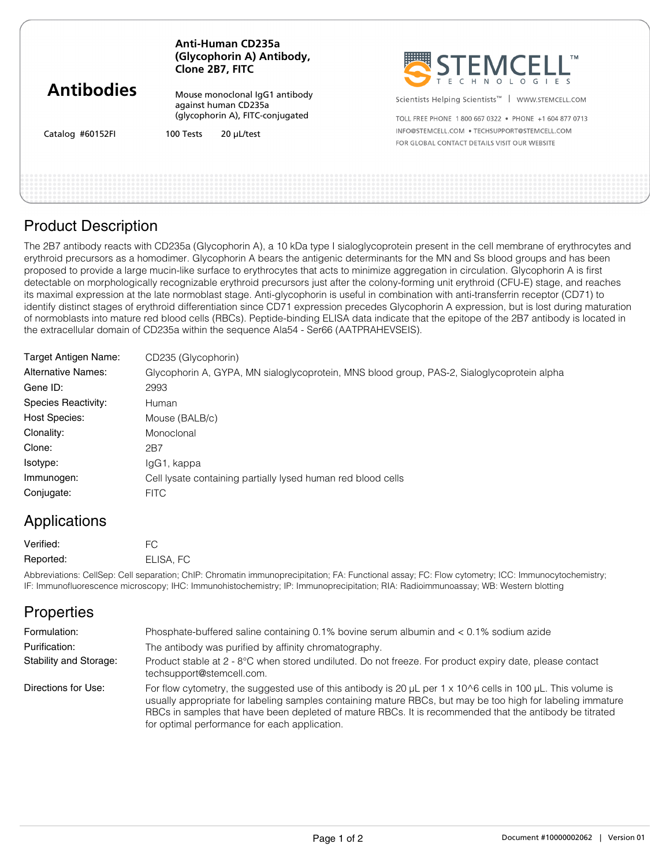|                                       | Anti-Human CD235a<br>(Glycophorin A) Antibody,<br>Clone 2B7, FITC | <b>NESTEMCELL</b><br>T E C H N O L O G I E S                   |
|---------------------------------------|-------------------------------------------------------------------|----------------------------------------------------------------|
| <b>Antibodies</b><br>Catalog #60152FI | Mouse monoclonal IgG1 antibody<br>against human CD235a            | Scientists Helping Scientists <sup>™</sup><br>WWW.STEMCELL.COM |
|                                       | (glycophorin A), FITC-conjugated                                  | TOLL FREE PHONE 1800 667 0322 . PHONE +1 604 877 0713          |
|                                       | $20 \mu$ L/test<br>100 Tests                                      | INFO@STEMCELL.COM . TECHSUPPORT@STEMCELL.COM                   |
|                                       |                                                                   | FOR GLOBAL CONTACT DETAILS VISIT OUR WEBSITE                   |
|                                       |                                                                   |                                                                |

## Product Description

The 2B7 antibody reacts with CD235a (Glycophorin A), a 10 kDa type I sialoglycoprotein present in the cell membrane of erythrocytes and erythroid precursors as a homodimer. Glycophorin A bears the antigenic determinants for the MN and Ss blood groups and has been proposed to provide a large mucin-like surface to erythrocytes that acts to minimize aggregation in circulation. Glycophorin A is first detectable on morphologically recognizable erythroid precursors just after the colony-forming unit erythroid (CFU-E) stage, and reaches its maximal expression at the late normoblast stage. Anti-glycophorin is useful in combination with anti-transferrin receptor (CD71) to identify distinct stages of erythroid differentiation since CD71 expression precedes Glycophorin A expression, but is lost during maturation of normoblasts into mature red blood cells (RBCs). Peptide-binding ELISA data indicate that the epitope of the 2B7 antibody is located in the extracellular domain of CD235a within the sequence Ala54 - Ser66 (AATPRAHEVSEIS).

| Target Antigen Name:      | CD235 (Glycophorin)                                                                        |
|---------------------------|--------------------------------------------------------------------------------------------|
| <b>Alternative Names:</b> | Glycophorin A, GYPA, MN sialoglycoprotein, MNS blood group, PAS-2, Sialoglycoprotein alpha |
| Gene ID:                  | 2993                                                                                       |
| Species Reactivity:       | Human                                                                                      |
| <b>Host Species:</b>      | Mouse (BALB/c)                                                                             |
| Clonality:                | Monoclonal                                                                                 |
| Clone:                    | 2B7                                                                                        |
| Isotype:                  | IgG1, kappa                                                                                |
| Immunogen:                | Cell lysate containing partially lysed human red blood cells                               |
| Conjugate:                | <b>FITC</b>                                                                                |
|                           |                                                                                            |

## Applications

| Verified: | FC.       |
|-----------|-----------|
| Reported: | ELISA, FC |

Abbreviations: CellSep: Cell separation; ChIP: Chromatin immunoprecipitation; FA: Functional assay; FC: Flow cytometry; ICC: Immunocytochemistry; IF: Immunofluorescence microscopy; IHC: Immunohistochemistry; IP: Immunoprecipitation; RIA: Radioimmunoassay; WB: Western blotting

| <b>Properties</b>      |                                                                                                                                                                                                                                                                                                                                                                                                  |
|------------------------|--------------------------------------------------------------------------------------------------------------------------------------------------------------------------------------------------------------------------------------------------------------------------------------------------------------------------------------------------------------------------------------------------|
| Formulation:           | Phosphate-buffered saline containing 0.1% bovine serum albumin and < 0.1% sodium azide                                                                                                                                                                                                                                                                                                           |
| Purification:          | The antibody was purified by affinity chromatography.                                                                                                                                                                                                                                                                                                                                            |
| Stability and Storage: | Product stable at 2 - 8°C when stored undiluted. Do not freeze. For product expiry date, please contact<br>techsupport@stemcell.com.                                                                                                                                                                                                                                                             |
| Directions for Use:    | For flow cytometry, the suggested use of this antibody is 20 $\mu$ L per 1 x 10^6 cells in 100 $\mu$ L. This volume is<br>usually appropriate for labeling samples containing mature RBCs, but may be too high for labeling immature<br>RBCs in samples that have been depleted of mature RBCs. It is recommended that the antibody be titrated<br>for optimal performance for each application. |